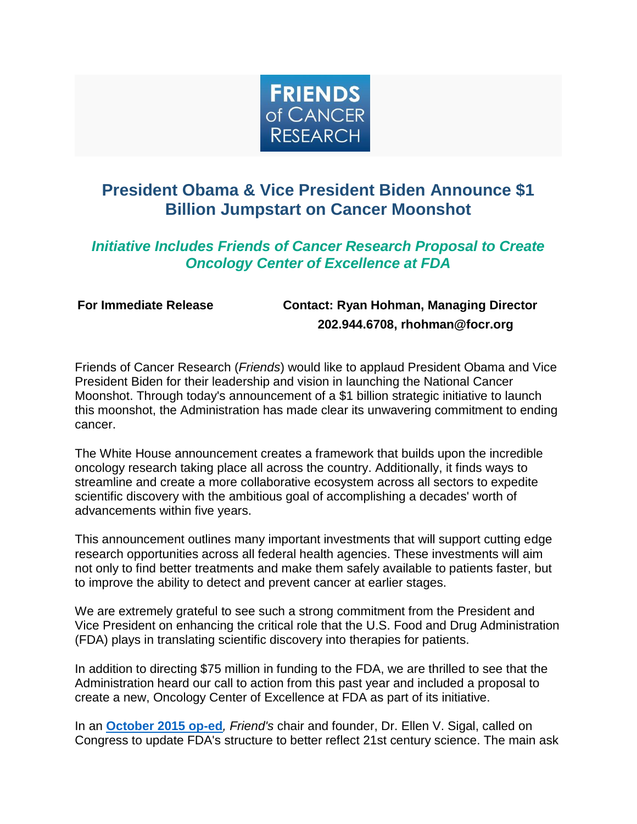

## **President Obama & Vice President Biden Announce \$1 Billion Jumpstart on Cancer Moonshot**

## *Initiative Includes Friends of Cancer Research Proposal to Create Oncology Center of Excellence at FDA*

## **For Immediate Release Contact: Ryan Hohman, Managing Director 202.944.6708, rhohman@focr.org**

Friends of Cancer Research (*Friends*) would like to applaud President Obama and Vice President Biden for their leadership and vision in launching the National Cancer Moonshot. Through today's announcement of a \$1 billion strategic initiative to launch this moonshot, the Administration has made clear its unwavering commitment to ending cancer.

The White House announcement creates a framework that builds upon the incredible oncology research taking place all across the country. Additionally, it finds ways to streamline and create a more collaborative ecosystem across all sectors to expedite scientific discovery with the ambitious goal of accomplishing a decades' worth of advancements within five years.

This announcement outlines many important investments that will support cutting edge research opportunities across all federal health agencies. These investments will aim not only to find better treatments and make them safely available to patients faster, but to improve the ability to detect and prevent cancer at earlier stages.

We are extremely grateful to see such a strong commitment from the President and Vice President on enhancing the critical role that the U.S. Food and Drug Administration (FDA) plays in translating scientific discovery into therapies for patients.

In addition to directing \$75 million in funding to the FDA, we are thrilled to see that the Administration heard our call to action from this past year and included a proposal to create a new, Oncology Center of Excellence at FDA as part of its initiative.

In an **[October 2015 op-ed](http://r20.rs6.net/tn.jsp?e=001AT6CeeT8nKx_cILZFXmCm1GqH3QSCNZ1HbND9dI2RK3znqWv7h5EY82MD5g2gSq1Y5QR237ecCUFrcH7lfot0zgpTnaZEviLMEKv69RBgxH1k05vCbeNiRbAlsQcMkh6x-FC3zB1IuIow_3E_9lVgCllPW6efZyBECBitIeuSn4Xhevy-AlTgIDPSzmiAiKE8ClZbUDjIq5LytqnWAINOw==)***, Friend's* chair and founder, Dr. Ellen V. Sigal, called on Congress to update FDA's structure to better reflect 21st century science. The main ask